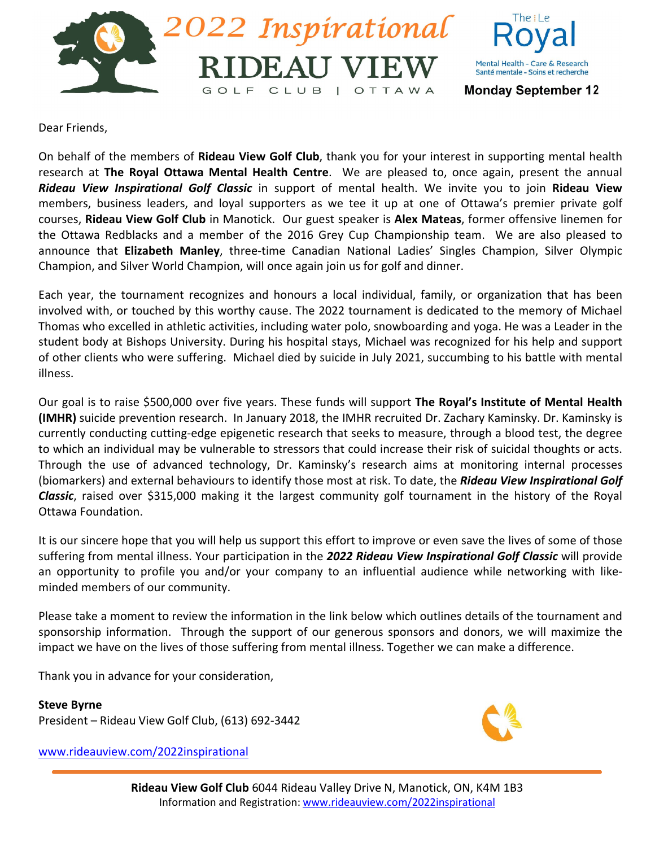



Dear Friends,

On behalf of the members of **Rideau View Golf Club**, thank you for your interest in supporting mental health research at **The Royal Ottawa Mental Health Centre**. We are pleased to, once again, present the annual *Rideau View Inspirational Golf Classic* in support of mental health. We invite you to join **Rideau View** members, business leaders, and loyal supporters as we tee it up at one of Ottawa's premier private golf courses, **Rideau View Golf Club** in Manotick. Our guest speaker is **Alex Mateas**, former offensive linemen for the Ottawa Redblacks and a member of the 2016 Grey Cup Championship team. We are also pleased to announce that **Elizabeth Manley**, three-time Canadian National Ladies' Singles Champion, Silver Olympic Champion, and Silver World Champion, will once again join us for golf and dinner.

Each year, the tournament recognizes and honours a local individual, family, or organization that has been involved with, or touched by this worthy cause. The 2022 tournament is dedicated to the memory of Michael Thomas who excelled in athletic activities, including water polo, snowboarding and yoga. He was a Leader in the student body at Bishops University. During his hospital stays, Michael was recognized for his help and support of other clients who were suffering. Michael died by suicide in July 2021, succumbing to his battle with mental illness.

Our goal is to raise \$500,000 over five years. These funds will support **The Royal's Institute of Mental Health (IMHR)** suicide prevention research. In January 2018, the IMHR recruited Dr. Zachary Kaminsky. Dr. Kaminsky is currently conducting cutting-edge epigenetic research that seeks to measure, through a blood test, the degree to which an individual may be vulnerable to stressors that could increase their risk of suicidal thoughts or acts. Through the use of advanced technology, Dr. Kaminsky's research aims at monitoring internal processes (biomarkers) and external behaviours to identify those most at risk. To date, the *Rideau View Inspirational Golf Classic*, raised over \$315,000 making it the largest community golf tournament in the history of the Royal Ottawa Foundation.

It is our sincere hope that you will help us support this effort to improve or even save the lives of some of those suffering from mental illness. Your participation in the *2022 Rideau View Inspirational Golf Classic* will provide an opportunity to profile you and/or your company to an influential audience while networking with likeminded members of our community.

Please take a moment to review the information in the link below which outlines details of the tournament and sponsorship information. Through the support of our generous sponsors and donors, we will maximize the impact we have on the lives of those suffering from mental illness. Together we can make a difference.

Thank you in advance for your consideration,

**Steve Byrne** President – Rideau View Golf Club, (613) 692-3442

[www.rideauview.com/2022inspirational](http://www.rideauview.com/2022inspirational)

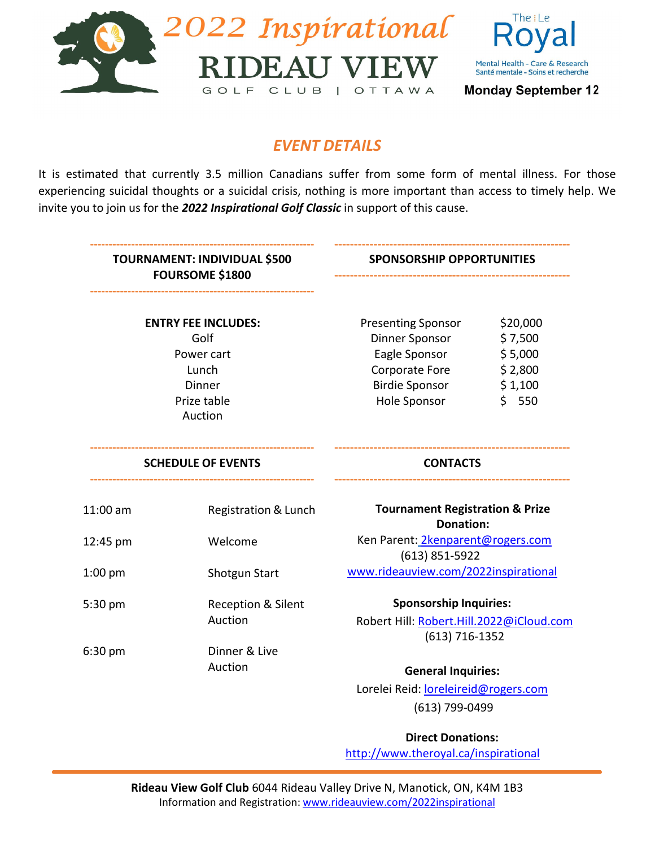



### *EVENT DETAILS*

It is estimated that currently 3.5 million Canadians suffer from some form of mental illness. For those experiencing suicidal thoughts or a suicidal crisis, nothing is more important than access to timely help. We invite you to join us for the *2022 Inspirational Golf Classic* in support of this cause.

|                           | <b>TOURNAMENT: INDIVIDUAL \$500</b><br><b>FOURSOME \$1800</b> | <b>SPONSORSHIP OPPORTUNITIES</b>           |                    |  |  |
|---------------------------|---------------------------------------------------------------|--------------------------------------------|--------------------|--|--|
|                           | <b>ENTRY FEE INCLUDES:</b>                                    | <b>Presenting Sponsor</b>                  | \$20,000           |  |  |
|                           | Golf                                                          | Dinner Sponsor                             | \$7,500            |  |  |
|                           | Power cart                                                    | Eagle Sponsor                              | \$5,000<br>\$2,800 |  |  |
|                           | Lunch                                                         | Corporate Fore                             |                    |  |  |
|                           | <b>Dinner</b>                                                 | <b>Birdie Sponsor</b>                      | \$1,100            |  |  |
| Prize table               |                                                               | Hole Sponsor                               | \$550              |  |  |
|                           | Auction                                                       |                                            |                    |  |  |
| <b>SCHEDULE OF EVENTS</b> |                                                               | <b>CONTACTS</b>                            |                    |  |  |
| 11:00 am                  | Registration & Lunch                                          | <b>Tournament Registration &amp; Prize</b> |                    |  |  |
|                           |                                                               | <b>Donation:</b>                           |                    |  |  |
| 12:45 pm                  | Welcome                                                       | Ken Parent: 2kenparent@rogers.com          |                    |  |  |
|                           |                                                               | $(613)$ 851-5922                           |                    |  |  |
| $1:00$ pm                 | <b>Shotgun Start</b>                                          | www.rideauview.com/2022inspirational       |                    |  |  |
| 5:30 pm                   | Reception & Silent                                            | <b>Sponsorship Inquiries:</b>              |                    |  |  |
|                           | Auction                                                       | Robert Hill: Robert.Hill.2022@iCloud.com   |                    |  |  |
|                           |                                                               | $(613) 716 - 1352$                         |                    |  |  |
| 6:30 pm                   | Dinner & Live                                                 |                                            |                    |  |  |
|                           | Auction                                                       | <b>General Inquiries:</b>                  |                    |  |  |
|                           |                                                               | Lorelei Reid: loreleireid@rogers.com       |                    |  |  |
|                           |                                                               | (613) 799-0499                             |                    |  |  |

**Direct Donations:** <http://www.theroyal.ca/inspirational>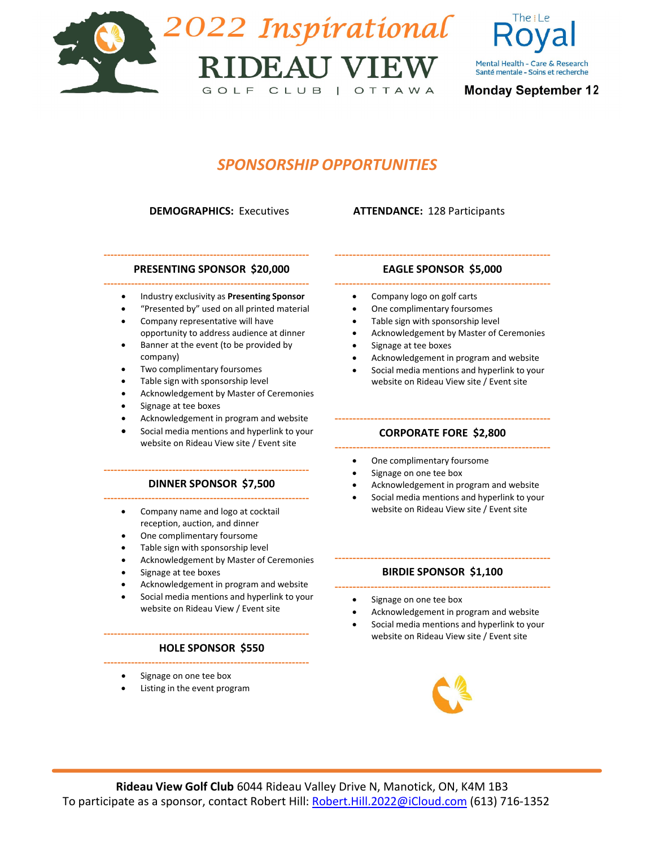



## *SPONSORSHIP OPPORTUNITIES*

**DEMOGRAPHICS:** Executives **ATTENDANCE:** 128 Participants

#### **‐‐‐‐‐‐‐‐‐‐‐‐‐‐‐‐‐‐‐‐‐‐‐‐‐‐‐‐‐‐‐‐‐‐‐‐‐‐‐‐‐‐‐‐‐‐‐‐‐‐‐‐‐‐‐‐‐‐‐‐ PRESENTING SPONSOR \$20,000**

- **‐‐‐‐‐‐‐‐‐‐‐‐‐‐‐‐‐‐‐‐‐‐‐‐‐‐‐‐‐‐‐‐‐‐‐‐‐‐‐‐‐‐‐‐‐‐‐‐‐‐‐‐‐‐‐‐‐‐‐‐** • Industry exclusivity as **Presenting Sponsor**
	- "Presented by" used on all printed material
	- Company representative will have opportunity to address audience at dinner
	- Banner at the event (to be provided by company)
	- Two complimentary foursomes
	- Table sign with sponsorship level
	- Acknowledgement by Master of Ceremonies
	- Signage at tee boxes
	- Acknowledgement in program and website
	- Social media mentions and hyperlink to your website on Rideau View site / Event site

#### **‐‐‐‐‐‐‐‐‐‐‐‐‐‐‐‐‐‐‐‐‐‐‐‐‐‐‐‐‐‐‐‐‐‐‐‐‐‐‐‐‐‐‐‐‐‐‐‐‐‐‐‐‐‐‐‐‐‐‐‐ DINNER SPONSOR \$7,500 ‐‐‐‐‐‐‐‐‐‐‐‐‐‐‐‐‐‐‐‐‐‐‐‐‐‐‐‐‐‐‐‐‐‐‐‐‐‐‐‐‐‐‐‐‐‐‐‐‐‐‐‐‐‐‐‐‐‐‐‐**

- Company name and logo at cocktail reception, auction, and dinner
- One complimentary foursome
- Table sign with sponsorship level
- Acknowledgement by Master of Ceremonies
- Signage at tee boxes
- Acknowledgement in program and website
- Social media mentions and hyperlink to your website on Rideau View / Event site

#### **‐‐‐‐‐‐‐‐‐‐‐‐‐‐‐‐‐‐‐‐‐‐‐‐‐‐‐‐‐‐‐‐‐‐‐‐‐‐‐‐‐‐‐‐‐‐‐‐‐‐‐‐‐‐‐‐‐‐‐‐ HOLE SPONSOR \$550 ‐‐‐‐‐‐‐‐‐‐‐‐‐‐‐‐‐‐‐‐‐‐‐‐‐‐‐‐‐‐‐‐‐‐‐‐‐‐‐‐‐‐‐‐‐‐‐‐‐‐‐‐‐‐‐‐‐‐‐‐**

- Signage on one tee box
- Listing in the event program

### **‐‐‐‐‐‐‐‐‐‐‐‐‐‐‐‐‐‐‐‐‐‐‐‐‐‐‐‐‐‐‐‐‐‐‐‐‐‐‐‐‐‐‐‐‐‐‐‐‐‐‐‐‐‐‐‐‐‐‐‐ EAGLE SPONSOR \$5,000 ‐‐‐‐‐‐‐‐‐‐‐‐‐‐‐‐‐‐‐‐‐‐‐‐‐‐‐‐‐‐‐‐‐‐‐‐‐‐‐‐‐‐‐‐‐‐‐‐‐‐‐‐‐‐‐‐‐‐‐‐**

- Company logo on golf carts
- One complimentary foursomes
- Table sign with sponsorship level
- Acknowledgement by Master of Ceremonies
- Signage at tee boxes
- Acknowledgement in program and website
- Social media mentions and hyperlink to your website on Rideau View site / Event site

#### **‐‐‐‐‐‐‐‐‐‐‐‐‐‐‐‐‐‐‐‐‐‐‐‐‐‐‐‐‐‐‐‐‐‐‐‐‐‐‐‐‐‐‐‐‐‐‐‐‐‐‐‐‐‐‐‐‐‐‐‐ CORPORATE FORE \$2,800**

- **‐‐‐‐‐‐‐‐‐‐‐‐‐‐‐‐‐‐‐‐‐‐‐‐‐‐‐‐‐‐‐‐‐‐‐‐‐‐‐‐‐‐‐‐‐‐‐‐‐‐‐‐‐‐‐‐‐‐‐‐** • One complimentary foursome
	- Signage on one tee box
	- Acknowledgement in program and website
	- Social media mentions and hyperlink to your website on Rideau View site / Event site

### **‐‐‐‐‐‐‐‐‐‐‐‐‐‐‐‐‐‐‐‐‐‐‐‐‐‐‐‐‐‐‐‐‐‐‐‐‐‐‐‐‐‐‐‐‐‐‐‐‐‐‐‐‐‐‐‐‐‐‐‐ BIRDIE SPONSOR \$1,100 ‐‐‐‐‐‐‐‐‐‐‐‐‐‐‐‐‐‐‐‐‐‐‐‐‐‐‐‐‐‐‐‐‐‐‐‐‐‐‐‐‐‐‐‐‐‐‐‐‐‐‐‐‐‐‐‐‐‐‐‐**

- Signage on one tee box
- Acknowledgement in program and website
- Social media mentions and hyperlink to your website on Rideau View site / Event site